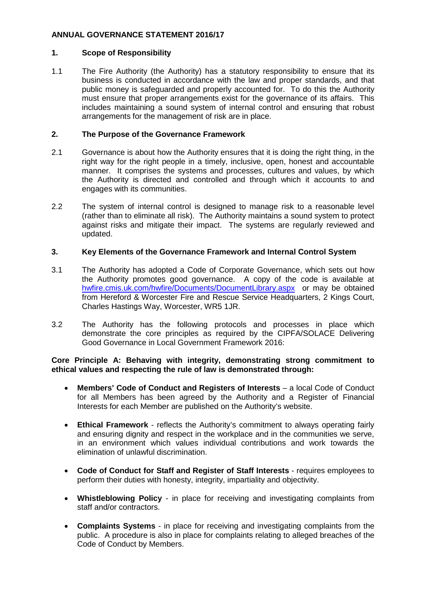# **ANNUAL GOVERNANCE STATEMENT 2016/17**

## **1. Scope of Responsibility**

1.1 The Fire Authority (the Authority) has a statutory responsibility to ensure that its business is conducted in accordance with the law and proper standards, and that public money is safeguarded and properly accounted for. To do this the Authority must ensure that proper arrangements exist for the governance of its affairs. This includes maintaining a sound system of internal control and ensuring that robust arrangements for the management of risk are in place.

### **2. The Purpose of the Governance Framework**

- 2.1 Governance is about how the Authority ensures that it is doing the right thing, in the right way for the right people in a timely, inclusive, open, honest and accountable manner. It comprises the systems and processes, cultures and values, by which the Authority is directed and controlled and through which it accounts to and engages with its communities.
- 2.2 The system of internal control is designed to manage risk to a reasonable level (rather than to eliminate all risk). The Authority maintains a sound system to protect against risks and mitigate their impact. The systems are regularly reviewed and updated.

#### **3. Key Elements of the Governance Framework and Internal Control System**

- 3.1 The Authority has adopted a Code of Corporate Governance, which sets out how the Authority promotes good governance. A copy of the code is available at [hwfire.cmis.uk.com/hwfire/Documents/DocumentLibrary.aspx](https://hwfire.cmis.uk.com/hwfire/Documents/DocumentLibrary.aspx) or may be obtained from Hereford & Worcester Fire and Rescue Service Headquarters, 2 Kings Court, Charles Hastings Way, Worcester, WR5 1JR.
- 3.2 The Authority has the following protocols and processes in place which demonstrate the core principles as required by the CIPFA/SOLACE Delivering Good Governance in Local Government Framework 2016:

#### **Core Principle A: Behaving with integrity, demonstrating strong commitment to ethical values and respecting the rule of law is demonstrated through:**

- **Members' Code of Conduct and Registers of Interests** a local Code of Conduct for all Members has been agreed by the Authority and a Register of Financial Interests for each Member are published on the Authority's website.
- **Ethical Framework**  reflects the Authority's commitment to always operating fairly and ensuring dignity and respect in the workplace and in the communities we serve, in an environment which values individual contributions and work towards the elimination of unlawful discrimination.
- **Code of Conduct for Staff and Register of Staff Interests** requires employees to perform their duties with honesty, integrity, impartiality and objectivity.
- **Whistleblowing Policy** in place for receiving and investigating complaints from staff and/or contractors.
- **Complaints Systems** in place for receiving and investigating complaints from the public. A procedure is also in place for complaints relating to alleged breaches of the Code of Conduct by Members.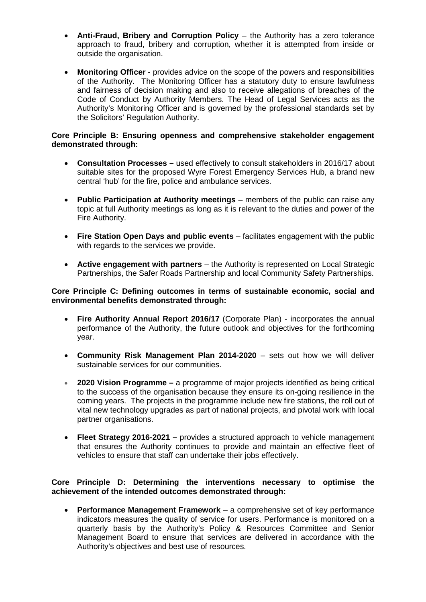- **Anti-Fraud, Bribery and Corruption Policy** the Authority has a zero tolerance approach to fraud, bribery and corruption, whether it is attempted from inside or outside the organisation.
- **Monitoring Officer** provides advice on the scope of the powers and responsibilities of the Authority. The Monitoring Officer has a statutory duty to ensure lawfulness and fairness of decision making and also to receive allegations of breaches of the Code of Conduct by Authority Members. The Head of Legal Services acts as the Authority's Monitoring Officer and is governed by the professional standards set by the Solicitors' Regulation Authority.

#### **Core Principle B: Ensuring openness and comprehensive stakeholder engagement demonstrated through:**

- **Consultation Processes –** used effectively to consult stakeholders in 2016/17 about suitable sites for the proposed Wyre Forest Emergency Services Hub, a brand new central 'hub' for the fire, police and ambulance services.
- **Public Participation at Authority meetings** members of the public can raise any topic at full Authority meetings as long as it is relevant to the duties and power of the Fire Authority.
- **Fire Station Open Days and public events** facilitates engagement with the public with regards to the services we provide.
- **Active engagement with partners** the Authority is represented on Local Strategic Partnerships, the Safer Roads Partnership and local Community Safety Partnerships.

## **Core Principle C: Defining outcomes in terms of sustainable economic, social and environmental benefits demonstrated through:**

- **Fire Authority Annual Report 2016/17** (Corporate Plan) incorporates the annual performance of the Authority, the future outlook and objectives for the forthcoming year.
- **Community Risk Management Plan 2014-2020** sets out how we will deliver sustainable services for our communities.
- **2020 Vision Programme –** a programme of major projects identified as being critical to the success of the organisation because they ensure its on-going resilience in the coming years. The projects in the programme include new fire stations, the roll out of vital new technology upgrades as part of national projects, and pivotal work with local partner organisations.
- **Fleet Strategy 2016-2021 –** provides a structured approach to vehicle management that ensures the Authority continues to provide and maintain an effective fleet of vehicles to ensure that staff can undertake their jobs effectively.

## **Core Principle D: Determining the interventions necessary to optimise the achievement of the intended outcomes demonstrated through:**

• **Performance Management Framework** – a comprehensive set of key performance indicators measures the quality of service for users. Performance is monitored on a quarterly basis by the Authority's Policy & Resources Committee and Senior Management Board to ensure that services are delivered in accordance with the Authority's objectives and best use of resources.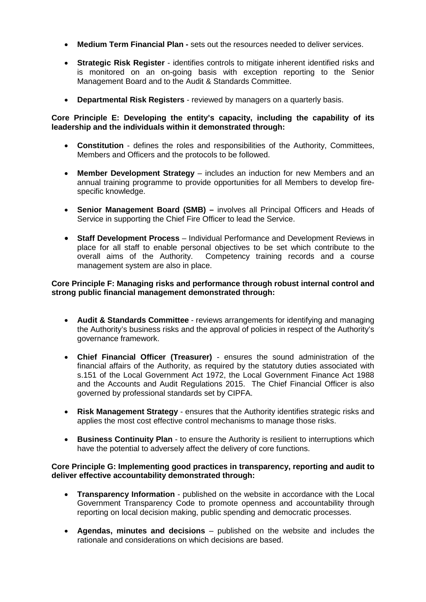- **Medium Term Financial Plan -** sets out the resources needed to deliver services.
- **Strategic Risk Register** identifies controls to mitigate inherent identified risks and is monitored on an on-going basis with exception reporting to the Senior Management Board and to the Audit & Standards Committee.
- **Departmental Risk Registers** reviewed by managers on a quarterly basis.

## **Core Principle E: Developing the entity's capacity, including the capability of its leadership and the individuals within it demonstrated through:**

- **Constitution** defines the roles and responsibilities of the Authority, Committees, Members and Officers and the protocols to be followed.
- **Member Development Strategy** includes an induction for new Members and an annual training programme to provide opportunities for all Members to develop firespecific knowledge.
- **Senior Management Board (SMB) –** involves all Principal Officers and Heads of Service in supporting the Chief Fire Officer to lead the Service.
- **Staff Development Process** Individual Performance and Development Reviews in place for all staff to enable personal objectives to be set which contribute to the overall aims of the Authority. Competency training records and a course management system are also in place.

## **Core Principle F: Managing risks and performance through robust internal control and strong public financial management demonstrated through:**

- **Audit & Standards Committee** reviews arrangements for identifying and managing the Authority's business risks and the approval of policies in respect of the Authority's governance framework.
- **Chief Financial Officer (Treasurer)** ensures the sound administration of the financial affairs of the Authority, as required by the statutory duties associated with s.151 of the Local Government Act 1972, the Local Government Finance Act 1988 and the Accounts and Audit Regulations 2015. The Chief Financial Officer is also governed by professional standards set by CIPFA.
- **Risk Management Strategy** ensures that the Authority identifies strategic risks and applies the most cost effective control mechanisms to manage those risks.
- **Business Continuity Plan** to ensure the Authority is resilient to interruptions which have the potential to adversely affect the delivery of core functions.

#### **Core Principle G: Implementing good practices in transparency, reporting and audit to deliver effective accountability demonstrated through:**

- **Transparency Information** published on the website in accordance with the Local Government Transparency Code to promote openness and accountability through reporting on local decision making, public spending and democratic processes.
- **Agendas, minutes and decisions** published on the website and includes the rationale and considerations on which decisions are based.